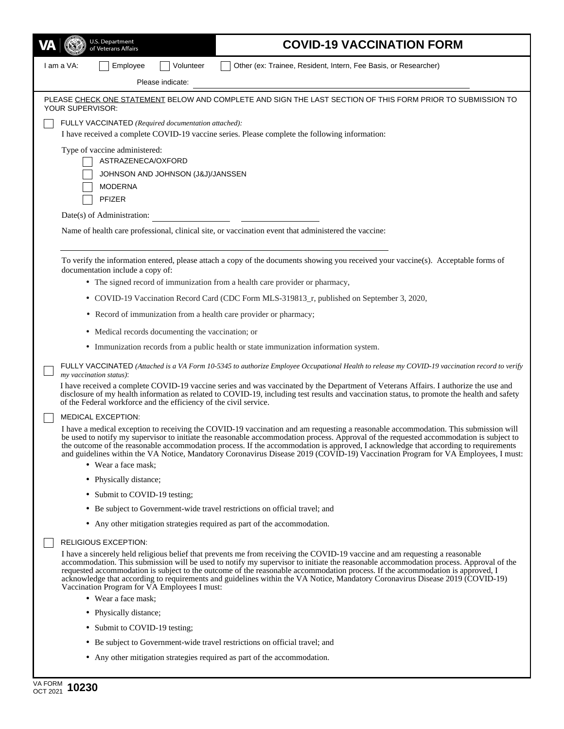| U.S. Department<br>of Veterans Affairs                                                                                          |                                                                                                                                                                                                                                                                                                                                                                                                                                                                                                                                                                                                                 |                  | <b>COVID-19 VACCINATION FORM</b>                                            |  |  |
|---------------------------------------------------------------------------------------------------------------------------------|-----------------------------------------------------------------------------------------------------------------------------------------------------------------------------------------------------------------------------------------------------------------------------------------------------------------------------------------------------------------------------------------------------------------------------------------------------------------------------------------------------------------------------------------------------------------------------------------------------------------|------------------|-----------------------------------------------------------------------------|--|--|
| I am a VA:                                                                                                                      | Employee                                                                                                                                                                                                                                                                                                                                                                                                                                                                                                                                                                                                        | Volunteer        | Other (ex: Trainee, Resident, Intern, Fee Basis, or Researcher)             |  |  |
|                                                                                                                                 |                                                                                                                                                                                                                                                                                                                                                                                                                                                                                                                                                                                                                 | Please indicate: |                                                                             |  |  |
| PLEASE CHECK ONE STATEMENT BELOW AND COMPLETE AND SIGN THE LAST SECTION OF THIS FORM PRIOR TO SUBMISSION TO<br>YOUR SUPERVISOR: |                                                                                                                                                                                                                                                                                                                                                                                                                                                                                                                                                                                                                 |                  |                                                                             |  |  |
| FULLY VACCINATED (Required documentation attached):                                                                             |                                                                                                                                                                                                                                                                                                                                                                                                                                                                                                                                                                                                                 |                  |                                                                             |  |  |
| I have received a complete COVID-19 vaccine series. Please complete the following information:                                  |                                                                                                                                                                                                                                                                                                                                                                                                                                                                                                                                                                                                                 |                  |                                                                             |  |  |
| Type of vaccine administered:                                                                                                   |                                                                                                                                                                                                                                                                                                                                                                                                                                                                                                                                                                                                                 |                  |                                                                             |  |  |
|                                                                                                                                 | ASTRAZENECA/OXFORD<br>JOHNSON AND JOHNSON (J&J)/JANSSEN                                                                                                                                                                                                                                                                                                                                                                                                                                                                                                                                                         |                  |                                                                             |  |  |
|                                                                                                                                 | <b>MODERNA</b>                                                                                                                                                                                                                                                                                                                                                                                                                                                                                                                                                                                                  |                  |                                                                             |  |  |
|                                                                                                                                 | PFIZER                                                                                                                                                                                                                                                                                                                                                                                                                                                                                                                                                                                                          |                  |                                                                             |  |  |
|                                                                                                                                 | Date(s) of Administration:                                                                                                                                                                                                                                                                                                                                                                                                                                                                                                                                                                                      |                  |                                                                             |  |  |
| Name of health care professional, clinical site, or vaccination event that administered the vaccine:                            |                                                                                                                                                                                                                                                                                                                                                                                                                                                                                                                                                                                                                 |                  |                                                                             |  |  |
|                                                                                                                                 | To verify the information entered, please attach a copy of the documents showing you received your vaccine(s). Acceptable forms of<br>documentation include a copy of:                                                                                                                                                                                                                                                                                                                                                                                                                                          |                  |                                                                             |  |  |
|                                                                                                                                 | • The signed record of immunization from a health care provider or pharmacy,                                                                                                                                                                                                                                                                                                                                                                                                                                                                                                                                    |                  |                                                                             |  |  |
|                                                                                                                                 | • COVID-19 Vaccination Record Card (CDC Form MLS-319813_r, published on September 3, 2020,                                                                                                                                                                                                                                                                                                                                                                                                                                                                                                                      |                  |                                                                             |  |  |
|                                                                                                                                 | • Record of immunization from a health care provider or pharmacy;                                                                                                                                                                                                                                                                                                                                                                                                                                                                                                                                               |                  |                                                                             |  |  |
|                                                                                                                                 | • Medical records documenting the vaccination; or                                                                                                                                                                                                                                                                                                                                                                                                                                                                                                                                                               |                  |                                                                             |  |  |
|                                                                                                                                 | • Immunization records from a public health or state immunization information system.                                                                                                                                                                                                                                                                                                                                                                                                                                                                                                                           |                  |                                                                             |  |  |
|                                                                                                                                 | FULLY VACCINATED (Attached is a VA Form 10-5345 to authorize Employee Occupational Health to release my COVID-19 vaccination record to verify<br>my vaccination status).                                                                                                                                                                                                                                                                                                                                                                                                                                        |                  |                                                                             |  |  |
|                                                                                                                                 | I have received a complete COVID-19 vaccine series and was vaccinated by the Department of Veterans Affairs. I authorize the use and<br>disclosure of my health information as related to COVID-19, including test results and vaccination status, to promote the health and safety<br>of the Federal workforce and the efficiency of the civil service.                                                                                                                                                                                                                                                        |                  |                                                                             |  |  |
|                                                                                                                                 | <b>MEDICAL EXCEPTION:</b>                                                                                                                                                                                                                                                                                                                                                                                                                                                                                                                                                                                       |                  |                                                                             |  |  |
|                                                                                                                                 | I have a medical exception to receiving the COVID-19 vaccination and am requesting a reasonable accommodation. This submission will<br>be used to notify my supervisor to initiate the reasonable accommodation process. Approval of the requested accommodation is subject to<br>the outcome of the reasonable accommodation process. If the accommodation is approved, I acknowledge that according to requirements<br>and guidelines within the VA Notice, Mandatory Coronavirus Disease 2019 (COVID-19) Vaccination Program for VA Employees, I must:<br>• Wear a face mask;                                |                  |                                                                             |  |  |
|                                                                                                                                 | • Physically distance;                                                                                                                                                                                                                                                                                                                                                                                                                                                                                                                                                                                          |                  |                                                                             |  |  |
|                                                                                                                                 | • Submit to COVID-19 testing;                                                                                                                                                                                                                                                                                                                                                                                                                                                                                                                                                                                   |                  |                                                                             |  |  |
|                                                                                                                                 | • Be subject to Government-wide travel restrictions on official travel; and                                                                                                                                                                                                                                                                                                                                                                                                                                                                                                                                     |                  |                                                                             |  |  |
|                                                                                                                                 | • Any other mitigation strategies required as part of the accommodation.                                                                                                                                                                                                                                                                                                                                                                                                                                                                                                                                        |                  |                                                                             |  |  |
| RELIGIOUS EXCEPTION:                                                                                                            |                                                                                                                                                                                                                                                                                                                                                                                                                                                                                                                                                                                                                 |                  |                                                                             |  |  |
|                                                                                                                                 | I have a sincerely held religious belief that prevents me from receiving the COVID-19 vaccine and am requesting a reasonable<br>accommodation. This submission will be used to notify my supervisor to initiate the reasonable accommodation process. Approval of the<br>requested accommodation is subject to the outcome of the reasonable accommodation process. If the accommodation is approved, I<br>acknowledge that according to requirements and guidelines within the VA Notice, Mandatory Coronavirus Disease 2019 (COVID-19)<br>Vaccination Program for VA Employees I must:<br>• Wear a face mask; |                  |                                                                             |  |  |
|                                                                                                                                 | • Physically distance;                                                                                                                                                                                                                                                                                                                                                                                                                                                                                                                                                                                          |                  |                                                                             |  |  |
|                                                                                                                                 | • Submit to COVID-19 testing;                                                                                                                                                                                                                                                                                                                                                                                                                                                                                                                                                                                   |                  |                                                                             |  |  |
|                                                                                                                                 |                                                                                                                                                                                                                                                                                                                                                                                                                                                                                                                                                                                                                 |                  | • Be subject to Government-wide travel restrictions on official travel; and |  |  |
|                                                                                                                                 |                                                                                                                                                                                                                                                                                                                                                                                                                                                                                                                                                                                                                 |                  | • Any other mitigation strategies required as part of the accommodation.    |  |  |

I